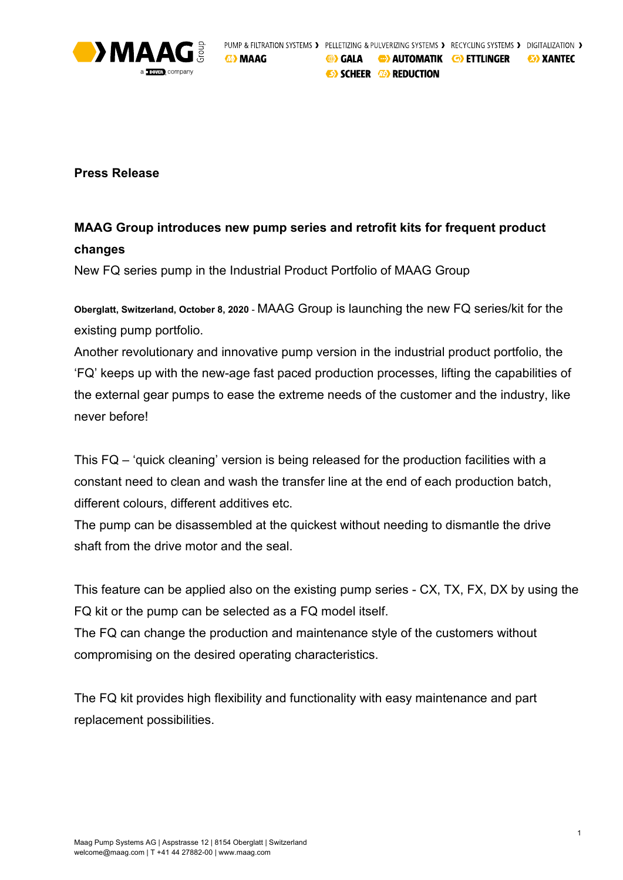

**Press Release**

## **MAAG Group introduces new pump series and retrofit kits for frequent product changes**

New FQ series pump in the Industrial Product Portfolio of MAAG Group

**Oberglatt, Switzerland, October 8, 2020** - MAAG Group is launching the new FQ series/kit for the existing pump portfolio.

Another revolutionary and innovative pump version in the industrial product portfolio, the 'FQ' keeps up with the new-age fast paced production processes, lifting the capabilities of the external gear pumps to ease the extreme needs of the customer and the industry, like never before!

This FQ – 'quick cleaning' version is being released for the production facilities with a constant need to clean and wash the transfer line at the end of each production batch, different colours, different additives etc.

The pump can be disassembled at the quickest without needing to dismantle the drive shaft from the drive motor and the seal.

This feature can be applied also on the existing pump series - CX, TX, FX, DX by using the FQ kit or the pump can be selected as a FQ model itself.

The FQ can change the production and maintenance style of the customers without compromising on the desired operating characteristics.

The FQ kit provides high flexibility and functionality with easy maintenance and part replacement possibilities.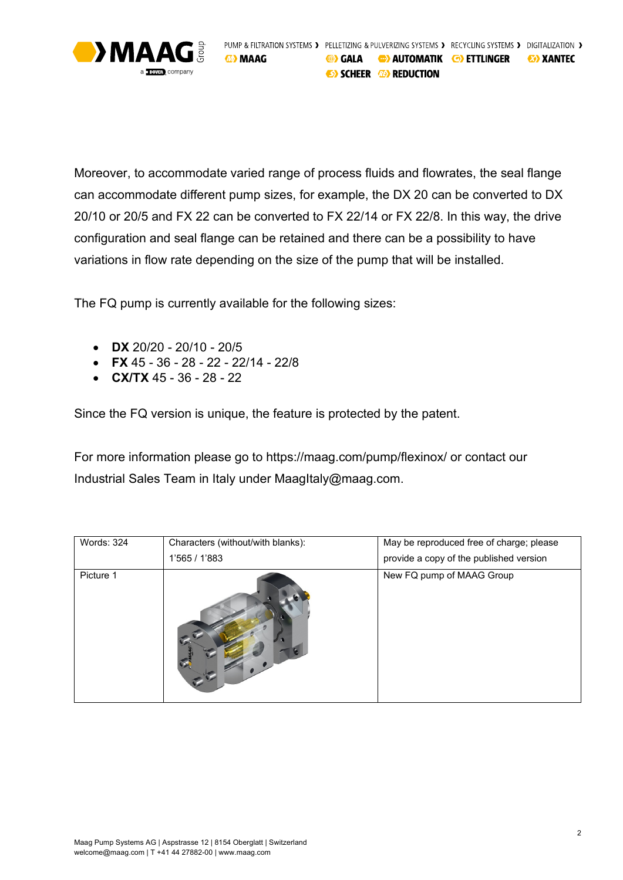

Moreover, to accommodate varied range of process fluids and flowrates, the seal flange can accommodate different pump sizes, for example, the DX 20 can be converted to DX 20/10 or 20/5 and FX 22 can be converted to FX 22/14 or FX 22/8. In this way, the drive configuration and seal flange can be retained and there can be a possibility to have variations in flow rate depending on the size of the pump that will be installed.

The FQ pump is currently available for the following sizes:

- **DX** 20/20 20/10 20/5
- **FX** 45 36 28 22 22/14 22/8
- **CX/TX** 45 36 28 22

Since the FQ version is unique, the feature is protected by the patent.

For more information please go to https://maag.com/pump/flexinox/ or contact our Industrial Sales Team in Italy under MaagItaly@maag.com.

| Words: 324 | Characters (without/with blanks): | May be reproduced free of charge; please |
|------------|-----------------------------------|------------------------------------------|
|            | 1'565 / 1'883                     | provide a copy of the published version  |
| Picture 1  |                                   | New FQ pump of MAAG Group                |